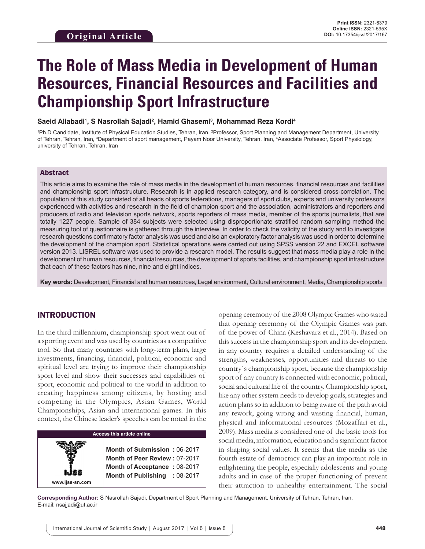# **The Role of Mass Media in Development of Human Resources, Financial Resources and Facilities and Championship Sport Infrastructure**

**Saeid Aliabadi1 , S Nasrollah Sajadi2 , Hamid Ghasemi3 , Mohammad Reza Kordi4**

<sup>1</sup>Ph.D Candidate, Institute of Physical Education Studies, Tehran, Iran, <sup>2</sup>Professor, Sport Planning and Management Department, University of Tehran, Tehran, Iran, <sup>3</sup>Department of sport management, Payam Noor University, Tehran, Iran, <sup>4</sup>Associate Professor, Sport Physiology, university of Tehran, Tehran, Iran

## Abstract

This article aims to examine the role of mass media in the development of human resources, financial resources and facilities and championship sport infrastructure. Research is in applied research category, and is considered cross-correlation. The population of this study consisted of all heads of sports federations, managers of sport clubs, experts and university professors experienced with activities and research in the field of champion sport and the association, administrators and reporters and producers of radio and television sports network, sports reporters of mass media, member of the sports journalists, that are totally 1227 people. Sample of 384 subjects were selected using disproportionate stratified random sampling method the measuring tool of questionnaire is gathered through the interview. In order to check the validity of the study and to investigate research questions confirmatory factor analysis was used and also an exploratory factor analysis was used in order to determine the development of the champion sport. Statistical operations were carried out using SPSS version 22 and EXCEL software version 2013. LISREL software was used to provide a research model. The results suggest that mass media play a role in the development of human resources, financial resources, the development of sports facilities, and championship sport infrastructure that each of these factors has nine, nine and eight indices.

**Key words:** Development, Financial and human resources, Legal environment, Cultural environment, Media, Championship sports

### INTRODUCTION

**www.ijss-sn.com**

In the third millennium, championship sport went out of a sporting event and was used by countries as a competitive tool. So that many countries with long-term plans, large investments, financing, financial, political, economic and spiritual level are trying to improve their championship sport level and show their successes and capabilities of sport, economic and political to the world in addition to creating happiness among citizens, by hosting and competing in the Olympics, Asian Games, World Championships, Asian and international games. In this context, the Chinese leader's speeches can be noted in the

## **Access this article online**

**Month of Submission :** 06-2017 **Month of Peer Review :** 07-2017 **Month of Acceptance :** 08-2017 **Month of Publishing :** 08-2017 opening ceremony of the 2008 Olympic Games who stated that opening ceremony of the Olympic Games was part of the power of China (Keshavarz et al., 2014). Based on this success in the championship sport and its development in any country requires a detailed understanding of the strengths, weaknesses, opportunities and threats to the country`s championship sport, because the championship sport of any country is connected with economic, political, social and cultural life of the country. Championship sport, like any other system needs to develop goals, strategies and action plans so in addition to being aware of the path avoid any rework, going wrong and wasting financial, human, physical and informational resources (Mozaffari et al., 2009). Mass media is considered one of the basic tools for social media, information, education and a significant factor in shaping social values. It seems that the media as the fourth estate of democracy can play an important role in enlightening the people, especially adolescents and young adults and in case of the proper functioning of prevent their attraction to unhealthy entertainment. The social

**Corresponding Author:** S Nasrollah Sajadi, Department of Sport Planning and Management, University of Tehran, Tehran, Iran. E-mail: nsajjadi@ut.ac.ir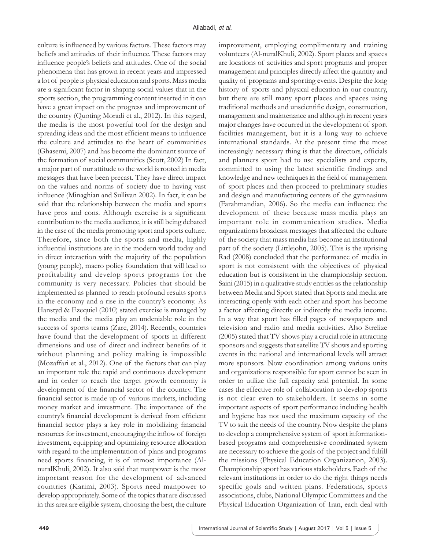culture is influenced by various factors. These factors may beliefs and attitudes of their influence. These factors may influence people's beliefs and attitudes. One of the social phenomena that has grown in recent years and impressed a lot of people is physical education and sports. Mass media are a significant factor in shaping social values that in the sports section, the programming content inserted in it can have a great impact on the progress and improvement of the country (Quoting Moradi et al., 2012). In this regard, the media is the most powerful tool for the design and spreading ideas and the most efficient means to influence the culture and attitudes to the heart of communities (Ghasemi, 2007) and has become the dominant source of the formation of social communities (Scott, 2002) In fact, a major part of our attitude to the world is rooted in media messages that have been precast. They have direct impact on the values and norms of society due to having vast influence (Minaghian and Sullivan 2002). In fact, it can be said that the relationship between the media and sports have pros and cons. Although exercise is a significant contribution to the media audience, it is still being debated in the case of the media promoting sport and sports culture. Therefore, since both the sports and media, highly influential institutions are in the modern world today and in direct interaction with the majority of the population (young people), macro policy foundation that will lead to profitability and develop sports programs for the community is very necessary. Policies that should be implemented as planned to reach profound results sports in the economy and a rise in the country's economy. As Hanstyd & Ezequiel (2010) stated exercise is managed by the media and the media play an undeniable role in the success of sports teams (Zare, 2014). Recently, countries have found that the development of sports in different dimensions and use of direct and indirect benefits of it without planning and policy making is impossible (Mozaffari et al., 2012). One of the factors that can play an important role the rapid and continuous development and in order to reach the target growth economy is development of the financial sector of the country. The financial sector is made up of various markets, including money market and investment. The importance of the country's financial development is derived from efficient financial sector plays a key role in mobilizing financial resources for investment, encouraging the inflow of foreign investment, equipping and optimizing resource allocation with regard to the implementation of plans and programs need sports financing, it is of utmost importance (AlnuralKhuli, 2002). It also said that manpower is the most important reason for the development of advanced countries (Karimi, 2003). Sports need manpower to develop appropriately. Some of the topics that are discussed in this area are eligible system, choosing the best, the culture

improvement, employing complimentary and training volunteers (Al-nuralKhuli, 2002). Sport places and spaces are locations of activities and sport programs and proper management and principles directly affect the quantity and quality of programs and sporting events. Despite the long history of sports and physical education in our country, but there are still many sport places and spaces using traditional methods and unscientific design, construction, management and maintenance and although in recent years major changes have occurred in the development of sport facilities management, but it is a long way to achieve international standards. At the present time the most increasingly necessary thing is that the directors, officials and planners sport had to use specialists and experts, committed to using the latest scientific findings and knowledge and new techniques in the field of management of sport places and then proceed to preliminary studies and design and manufacturing centers of the gymnasium (Farahmandian, 2006). So the media can influence the development of these because mass media plays an important role in communication studies. Media organizations broadcast messages that affected the culture of the society that mass media has become an institutional part of the society (Littlejohn, 2005). This is the uprising Rad (2008) concluded that the performance of media in sport is not consistent with the objectives of physical education but is consistent in the championship section. Saini (2015) in a qualitative study entitles as the relationship between Media and Sport stated that Sports and media are interacting openly with each other and sport has become a factor affecting directly or indirectly the media income. In a way that sport has filled pages of newspapers and television and radio and media activities. Also Strelize (2005) stated that TV shows play a crucial role in attracting sponsors and suggests that satellite TV shows and sporting events in the national and international levels will attract more sponsors. Now coordination among various units and organizations responsible for sport cannot be seen in order to utilize the full capacity and potential. In some cases the effective role of collaboration to develop sports is not clear even to stakeholders. It seems in some important aspects of sport performance including health and hygiene has not used the maximum capacity of the TV to suit the needs of the country. Now despite the plans to develop a comprehensive system of sport informationbased programs and comprehensive coordinated system are necessary to achieve the goals of the project and fulfill the missions (Physical Education Organization, 2003). Championship sport has various stakeholders. Each of the relevant institutions in order to do the right things needs specific goals and written plans. Federations, sports associations, clubs, National Olympic Committees and the Physical Education Organization of Iran, each deal with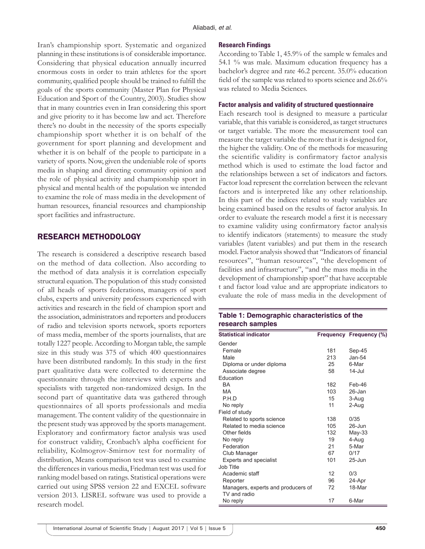Iran's championship sport. Systematic and organized planning in these institutions is of considerable importance. Considering that physical education annually incurred enormous costs in order to train athletes for the sport community, qualified people should be trained to fulfill the goals of the sports community (Master Plan for Physical Education and Sport of the Country, 2003). Studies show that in many countries even in Iran considering this sport and give priority to it has become law and act. Therefore there's no doubt in the necessity of the sports especially championship sport whether it is on behalf of the government for sport planning and development and whether it is on behalf of the people to participate in a variety of sports. Now, given the undeniable role of sports media in shaping and directing community opinion and the role of physical activity and championship sport in physical and mental health of the population we intended to examine the role of mass media in the development of human resources, financial resources and championship sport facilities and infrastructure.

## RESEARCH METHODOLOGY

The research is considered a descriptive research based on the method of data collection. Also according to the method of data analysis it is correlation especially structural equation. The population of this study consisted of all heads of sports federations, managers of sport clubs, experts and university professors experienced with activities and research in the field of champion sport and the association, administrators and reporters and producers of radio and television sports network, sports reporters of mass media, member of the sports journalists, that are totally 1227 people. According to Morgan table, the sample size in this study was 375 of which 400 questionnaires have been distributed randomly. In this study in the first part qualitative data were collected to determine the questionnaire through the interviews with experts and specialists with targeted non-randomized design. In the second part of quantitative data was gathered through questionnaires of all sports professionals and media management. The content validity of the questionnaire in the present study was approved by the sports management. Exploratory and confirmatory factor analysis was used for construct validity, Cronbach's alpha coefficient for reliability, Kolmogrov-Smirnov test for normality of distribution, Means comparison test was used to examine the differences in various media, Friedman test was used for ranking model based on ratings. Statistical operations were carried out using SPSS version 22 and EXCEL software version 2013. LISREL software was used to provide a research model.

#### **Research Findings**

According to Table 1, 45.9% of the sample w females and 54.1 % was male. Maximum education frequency has a bachelor's degree and rate 46.2 percent. 35.0% education field of the sample was related to sports science and 26.6% was related to Media Sciences.

#### **Factor analysis and validity of structured questionnaire**

Each research tool is designed to measure a particular variable, that this variable is considered, as target structures or target variable. The more the measurement tool can measure the target variable the more that it is designed for, the higher the validity. One of the methods for measuring the scientific validity is confirmatory factor analysis method which is used to estimate the load factor and the relationships between a set of indicators and factors. Factor load represent the correlation between the relevant factors and is interpreted like any other relationship. In this part of the indices related to study variables are being examined based on the results of factor analysis. In order to evaluate the research model a first it is necessary to examine validity using confirmatory factor analysis to identify indicators (statements) to measure the study variables (latent variables) and put them in the research model. Factor analysis showed that "Indicators of financial resources", "human resources", "the development of facilities and infrastructure", "and the mass media in the development of championship sport" that have acceptable t and factor load value and are appropriate indicators to evaluate the role of mass media in the development of

## **Table 1: Demographic characteristics of the research samples**

| <b>Statistical indicator</b>       |     | Frequency Frequency (%) |
|------------------------------------|-----|-------------------------|
| Gender                             |     |                         |
| Female                             | 181 | Sep-45                  |
| Male                               | 213 | $Jan-54$                |
| Diploma or under diploma           | 25  | 6-Mar                   |
| Associate degree                   | 58  | $14$ -Jul               |
| Education                          |     |                         |
| <b>BA</b>                          | 182 | Feb-46                  |
| <b>MA</b>                          | 103 | 26-Jan                  |
| P.H.D                              | 15  | 3-Aug                   |
| No reply                           | 11  | 2-Aug                   |
| Field of study                     |     |                         |
| Related to sports science          | 138 | 0/35                    |
| Related to media science           | 105 | $26 - Jun$              |
| Other fields                       | 132 | $May-33$                |
| No reply                           | 19  | 4-Aug                   |
| Federation                         | 21  | 5-Mar                   |
| Club Manager                       | 67  | 0/17                    |
| <b>Experts and specialist</b>      | 101 | $25 - Jun$              |
| Job Title                          |     |                         |
| Academic staff                     | 12  | 0/3                     |
| Reporter                           | 96  | 24-Apr                  |
| Managers, experts and producers of | 72  | 18-Mar                  |
| TV and radio                       |     |                         |
| No reply                           | 17  | 6-Mar                   |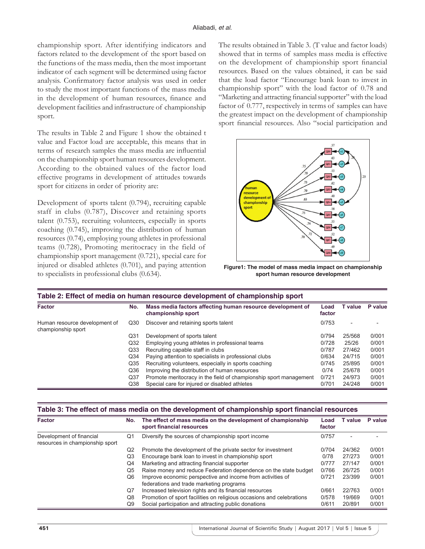championship sport. After identifying indicators and factors related to the development of the sport based on the functions of the mass media, then the most important indicator of each segment will be determined using factor analysis. Confirmatory factor analysis was used in order to study the most important functions of the mass media in the development of human resources, finance and development facilities and infrastructure of championship sport.

The results in Table 2 and Figure 1 show the obtained t value and Factor load are acceptable, this means that in terms of research samples the mass media are influential on the championship sport human resources development. According to the obtained values of the factor load effective programs in development of attitudes towards sport for citizens in order of priority are:

Development of sports talent (0.794), recruiting capable staff in clubs (0.787), Discover and retaining sports talent (0.753), recruiting volunteers, especially in sports coaching (0.745), improving the distribution of human resources (0.74), employing young athletes in professional teams (0.728), Promoting meritocracy in the field of championship sport management (0.721), special care for injured or disabled athletes (0.701), and paying attention to specialists in professional clubs (0.634).

The results obtained in Table 3. (T value and factor loads) showed that in terms of samples mass media is effective on the development of championship sport financial resources. Based on the values obtained, it can be said that the load factor "Encourage bank loan to invest in championship sport" with the load factor of 0.78 and "Marketing and attracting financial supporter" with the load factor of 0.777, respectively in terms of samples can have the greatest impact on the development of championship sport financial resources. Also "social participation and



**Figure1: The model of mass media impact on championship sport human resource development**

| Table 2: Effect of media on human resource development of championship sport |                 |                                                                                  |                |         |         |
|------------------------------------------------------------------------------|-----------------|----------------------------------------------------------------------------------|----------------|---------|---------|
| <b>Factor</b>                                                                | No.             | Mass media factors affecting human resource development of<br>championship sport | Load<br>factor | T value | P value |
| Human resource development of<br>championship sport                          | Q30             | Discover and retaining sports talent                                             | 0/753          | -       |         |
|                                                                              | Q31             | Development of sports talent                                                     | 0/794          | 25/568  | 0/001   |
|                                                                              | Q <sub>32</sub> | Employing young athletes in professional teams                                   | 0/728          | 25/26   | 0/001   |
|                                                                              | Q <sub>33</sub> | Recruiting capable staff in clubs                                                | 0/787          | 27/462  | 0/001   |
|                                                                              | Q <sub>34</sub> | Paying attention to specialists in professional clubs                            | 0/634          | 24/715  | 0/001   |
|                                                                              | Q35             | Recruiting volunteers, especially in sports coaching                             | 0/745          | 25/895  | 0/001   |
|                                                                              | Q36             | Improving the distribution of human resources                                    | 0/74           | 25/678  | 0/001   |
|                                                                              | Q <sub>37</sub> | Promote meritocracy in the field of championship sport management                | 0/721          | 24/973  | 0/001   |
|                                                                              | Q38             | Special care for injured or disabled athletes                                    | 0/701          | 24/248  | 0/001   |

| Table 3: The effect of mass media on the development of championship sport financial resources |  |                                                                 |  |                    |  |  |
|------------------------------------------------------------------------------------------------|--|-----------------------------------------------------------------|--|--------------------|--|--|
| <b>Factor</b>                                                                                  |  | No. The effect of mass media on the development of championship |  | Load Tvalue Pvalue |  |  |
|                                                                                                |  |                                                                 |  |                    |  |  |

|                                                             |    | sport financial resources                                                                              | factor |        |       |
|-------------------------------------------------------------|----|--------------------------------------------------------------------------------------------------------|--------|--------|-------|
| Development of financial<br>resources in championship sport | Q1 | Diversify the sources of championship sport income                                                     | 0/757  |        |       |
|                                                             | Q2 | Promote the development of the private sector for investment                                           | 0/704  | 24/362 | 0/001 |
|                                                             | Q3 | Encourage bank loan to invest in championship sport                                                    | 0/78   | 27/273 | 0/001 |
|                                                             | Q4 | Marketing and attracting financial supporter                                                           | 0/777  | 27/147 | 0/001 |
|                                                             | Q5 | Raise money and reduce Federation dependence on the state budget                                       | 0/766  | 26/725 | 0/001 |
|                                                             | Q6 | Improve economic perspective and income from activities of<br>federations and trade marketing programs | 0/721  | 23/399 | 0/001 |
|                                                             | Q7 | Increased television rights and its financial resources                                                | 0/661  | 22/763 | 0/001 |
|                                                             | Q8 | Promotion of sport facilities on religious occasions and celebrations                                  | 0/578  | 19/669 | 0/001 |
|                                                             | Q9 | Social participation and attracting public donations                                                   | 0/611  | 20/891 | 0/001 |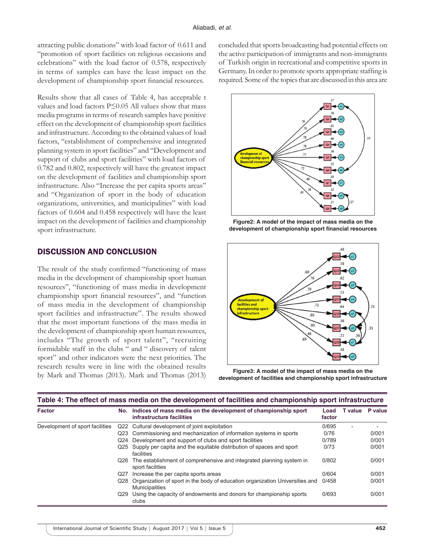attracting public donations" with load factor of 0.611 and "promotion of sport facilities on religious occasions and celebrations" with the load factor of 0.578, respectively in terms of samples can have the least impact on the development of championship sport financial resources.

Results show that all cases of Table 4, has acceptable t values and load factors P≤0.05 All values show that mass media programs in terms of research samples have positive effect on the development of championship sport facilities and infrastructure. According to the obtained values of load factors, "establishment of comprehensive and integrated planning system in sport facilities" and "Development and support of clubs and sport facilities" with load factors of 0.782 and 0.802, respectively will have the greatest impact on the development of facilities and championship sport infrastructure. Also "Increase the per capita sports areas" and "Organization of sport in the body of education organizations, universities, and municipalities" with load factors of 0.604 and 0.458 respectively will have the least impact on the development of facilities and championship sport infrastructure.

## DISCUSSION AND CONCLUSION

The result of the study confirmed "functioning of mass media in the development of championship sport human resources", "functioning of mass media in development championship sport financial resources", and "function of mass media in the development of championship sport facilities and infrastructure". The results showed that the most important functions of the mass media in the development of championship sport human resources, includes "The growth of sport talent", "recruiting formidable staff in the clubs " and " discovery of talent sport" and other indicators were the next priorities. The research results were in line with the obtained results by Mark and Thomas (2013). Mark and Thomas (2013) concluded that sports broadcasting had potential effects on the active participation of immigrants and non-immigrants of Turkish origin in recreational and competitive sports in Germany. In order to promote sports appropriate staffing is required. Some of the topics that are discussed in this area are



**Figure2: A model of the impact of mass media on the development of championship sport financial resources**



**Figure3: A model of the impact of mass media on the development of facilities and championship sport infrastructure**

| <b>Factor</b>                   | No.             | Indices of mass media on the development of championship sport<br>infrastructure facilities           | Load<br>factor | T value           | P value |
|---------------------------------|-----------------|-------------------------------------------------------------------------------------------------------|----------------|-------------------|---------|
| Development of sport facilities | Q22             | Cultural development of joint exploitation                                                            | 0/695          | $\qquad \qquad -$ |         |
|                                 | Q23             | Commissioning and mechanization of information systems in sports                                      | 0/76           |                   | 0/001   |
|                                 | Q <sub>24</sub> | Development and support of clubs and sport facilities                                                 | 0/789          |                   | 0/001   |
|                                 | Q25             | Supply per capita and the equitable distribution of spaces and sport<br>facilities                    | 0/73           |                   | 0/001   |
|                                 | Q26             | The establishment of comprehensive and integrated planning system in<br>sport facilities              | 0/802          |                   | 0/001   |
|                                 | Q27             | Increase the per capita sports areas                                                                  | 0/604          |                   | 0/001   |
|                                 | Q28             | Organization of sport in the body of education organization Universities and<br><b>Municipalities</b> | 0/458          |                   | 0/001   |
|                                 | Q29             | Using the capacity of endowments and donors for championship sports<br>clubs                          | 0/693          |                   | 0/001   |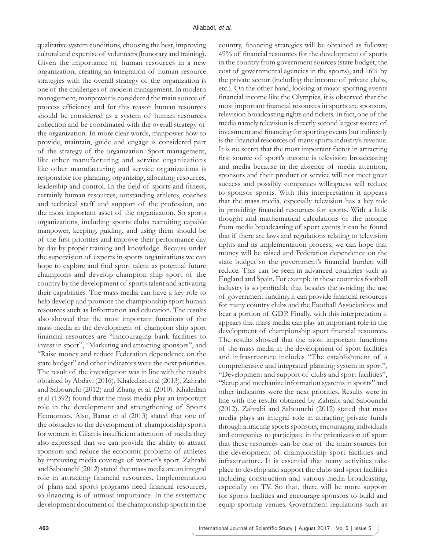qualitative system conditions, choosing the best, improving cultural and expertise of volunteers (honorary and training). Given the importance of human resources in a new organization, creating an integration of human resource strategies with the overall strategy of the organization is one of the challenges of modern management. In modern management, manpower is considered the main source of process efficiency and for this reason human resources should be considered as a system of human resources collection and be coordinated with the overall strategy of the organization. In more clear words, manpower how to provide, maintain, guide and engage is considered part of the strategy of the organization. Sport management, like other manufacturing and service organizations like other manufacturing and service organizations is responsible for planning, organizing, allocating resources, leadership and control. In the field of sports and fitness, certainly human resources, outstanding athletes, coaches and technical staff and support of the profession, are the most important asset of the organization. So sports organizations, including sports clubs recruiting capable manpower, keeping, guiding, and using them should be of the first priorities and improve their performance day by day by proper training and knowledge. Because under the supervision of experts in sports organizations we can hope to explore and find sport talent as potential future champions and develop champion ship sport of the country by the development of sports talent and activating their capabilities. The mass media can have a key role to help develop and promote the championship sport human resources such as Information and education. The results also showed that the most important functions of the mass media in the development of champion ship sport financial resources are "Encouraging bank facilities to invest in sport", "Marketing and attracting sponsors", and "Raise money and reduce Federation dependence on the state budget" and other indicators were the next priorities. The result of the investigation was in line with the results obtained by Abdavi (2016), Khaledian et al (2013), Zahrabi and Sabounchi (2012) and Zhang et al. (2010). Khaledian et al (1392) found that the mass media play an important role in the development and strengthening of Sports Economics. Also, Banar et al (2013) stated that one of the obstacles to the development of championship sports for women in Gilan is insufficient attention of media they also expressed that we can provide the ability to attract sponsors and reduce the economic problems of athletes by improving media coverage of women's sport. Zahrabi and Sabounchi (2012) stated that mass media are an integral role in attracting financial resources. Implementation of plans and sports programs need financial resources, so financing is of utmost importance. In the systematic development document of the championship sports in the

country, financing strategies will be obtained as follows; 49% of financial resources for the development of sports in the country from government sources (state budget, the cost of governmental agencies in the sports), and 16% by the private sector (including the income of private clubs, etc.). On the other hand, looking at major sporting events financial income like the Olympics, it is observed that the most important financial resources in sports are sponsors, television broadcasting rights and tickets. In fact, one of the media namely television is directly second largest source of investment and financing for sporting events but indirectly is the financial resources of many sports industry's revenue. It is no secret that the most important factor in attracting first source of sport's income is television broadcasting and media because in the absence of media attention, sponsors and their product or service will not meet great success and possibly companies willingness will reduce to sponsor sports. With this interpretation it appears that the mass media, especially television has a key role in providing financial resources for sports. With a little thought and mathematical calculations of the income from media broadcasting of sport events it can be found that if there are laws and regulations relating to television rights and its implementation process, we can hope that money will be raised and Federation dependence on the state budget so the government's financial burden will reduce. This can be seen in advanced countries such as England and Spain. For example in these countries football industry is so profitable that besides the avoiding the use of government funding, it can provide financial resources for many country clubs and the Football Associations and bear a portion of GDP. Finally, with this interpretation it appears that mass media can play an important role in the development of championship sport financial resources. The results showed that the most important functions of the mass media in the development of sport facilities and infrastructure includes "The establishment of a comprehensive and integrated planning system in sport", "Development and support of clubs and sport facilities", "Setup and mechanize information systems in sports" and other indicators were the next priorities. Results were in line with the results obtained by Zahrabi and Sabounchi (2012). Zahrabi and Sabounchi (2012) stated that mass media plays an integral role in attracting private funds through attracting sports sponsors, encouraging individuals and companies to participate in the privatization of sport that these resources can be one of the main sources for the development of championship sport facilities and infrastructure. It is essential that many activities take place to develop and support the clubs and sport facilities including construction and various media broadcasting, especially on TV. So that, there will be more support for sports facilities and encourage sponsors to build and equip sporting venues. Government regulations such as